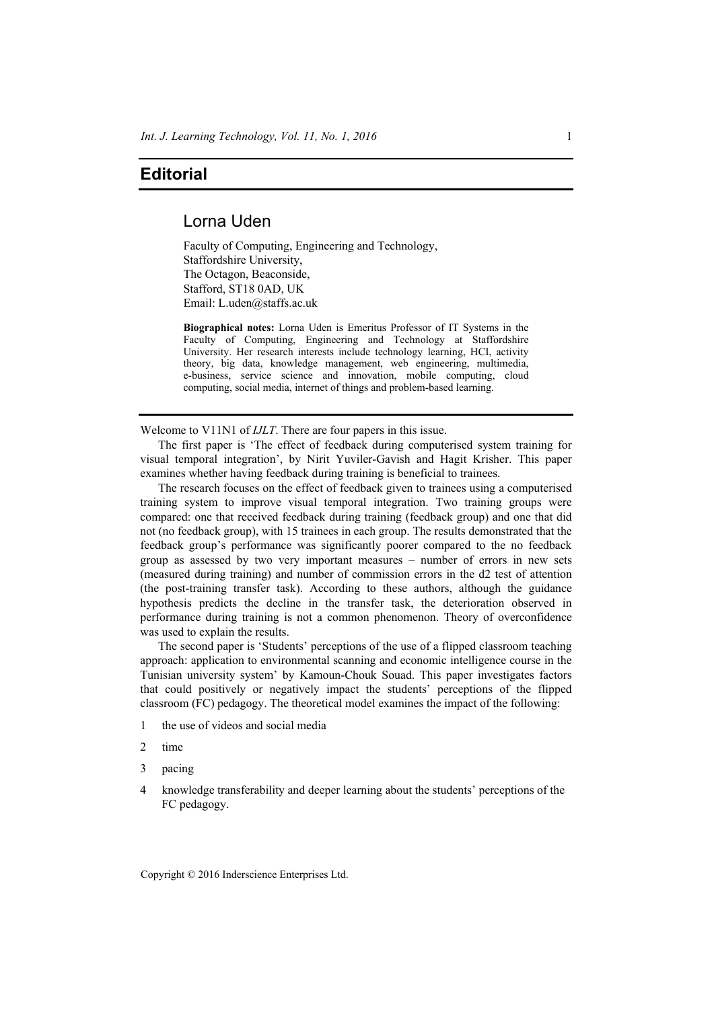## **Editorial**

## Lorna Uden

Faculty of Computing, Engineering and Technology, Staffordshire University, The Octagon, Beaconside, Stafford, ST18 0AD, UK Email: L.uden@staffs.ac.uk

**Biographical notes:** Lorna Uden is Emeritus Professor of IT Systems in the Faculty of Computing, Engineering and Technology at Staffordshire University. Her research interests include technology learning, HCI, activity theory, big data, knowledge management, web engineering, multimedia, e-business, service science and innovation, mobile computing, cloud computing, social media, internet of things and problem-based learning.

Welcome to V11N1 of *IJLT*. There are four papers in this issue.

The first paper is 'The effect of feedback during computerised system training for visual temporal integration', by Nirit Yuviler-Gavish and Hagit Krisher. This paper examines whether having feedback during training is beneficial to trainees.

The research focuses on the effect of feedback given to trainees using a computerised training system to improve visual temporal integration. Two training groups were compared: one that received feedback during training (feedback group) and one that did not (no feedback group), with 15 trainees in each group. The results demonstrated that the feedback group's performance was significantly poorer compared to the no feedback group as assessed by two very important measures – number of errors in new sets (measured during training) and number of commission errors in the d2 test of attention (the post-training transfer task). According to these authors, although the guidance hypothesis predicts the decline in the transfer task, the deterioration observed in performance during training is not a common phenomenon. Theory of overconfidence was used to explain the results.

The second paper is 'Students' perceptions of the use of a flipped classroom teaching approach: application to environmental scanning and economic intelligence course in the Tunisian university system' by Kamoun-Chouk Souad. This paper investigates factors that could positively or negatively impact the students' perceptions of the flipped classroom (FC) pedagogy. The theoretical model examines the impact of the following:

- 1 the use of videos and social media
- 2 time
- 3 pacing
- 4 knowledge transferability and deeper learning about the students' perceptions of the FC pedagogy.

Copyright © 2016 Inderscience Enterprises Ltd.